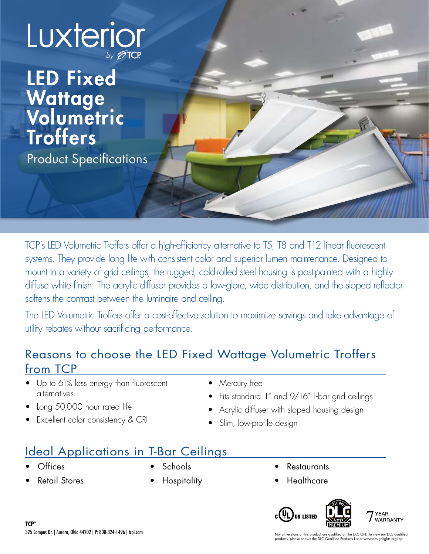

## LED Fixed Wattage Volumetric Troffers Product Specifications

TCP's LED Volumetric Troffers offer a high-efficiency alternative to T5, T8 and T12 linear fluorescent systems. They provide long life with consistent color and superior lumen maintenance. Designed to mount in a variety of grid ceilings, the rugged, cold-rolled steel housing is post-painted with a highly diffuse white finish. The acrylic diffuser provides a low-glare, wide distribution, and the sloped reflector softens the contrast between the luminaire and ceiling.

The LED Volumetric Troffers offer a cost-effective solution to maximize savings and take advantage of utility rebates without sacrificing performance.

### Reasons to choose the LED Fixed Wattage Volumetric Troffers from TCP

- Up to 61% less energy than fluorescent alternatives
- Long 50,000 hour rated life
- Excellent color consistency & CRI
- Mercury free
- Fits standard 1" and 9/16" T-bar grid ceilings
- Acrylic diffuser with sloped housing design
- Slim, low-profile design

## Ideal Applications in T-Bar Ceilings

- Offices
- Retail Stores
- Schools
- Hospitality
- **Restaurants**
- **Healthcare**

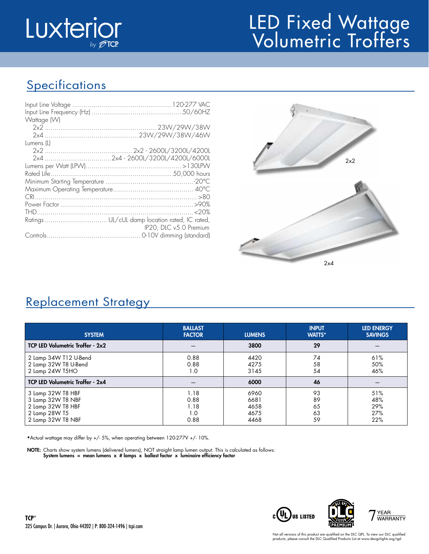

# LED Fixed Wattage Volumetric Troffers

## **Specifications**

| Wattage (W) |                        |
|-------------|------------------------|
|             |                        |
|             |                        |
| Lumens (L)  |                        |
|             |                        |
|             |                        |
|             |                        |
|             |                        |
|             |                        |
|             |                        |
|             |                        |
|             |                        |
|             |                        |
|             | IP20, DLC v5.0 Premium |
|             |                        |



### Replacement Strategy

| <b>SYSTEM</b>                                                                                     | <b>BALLAST</b><br><b>FACTOR</b>     | <b>LUMENS</b>                        | <b>INPUT</b><br><b>WATTS*</b> | <b>LED ENERGY</b><br><b>SAVINGS</b> |
|---------------------------------------------------------------------------------------------------|-------------------------------------|--------------------------------------|-------------------------------|-------------------------------------|
| TCP LED Volumetric Troffer - 2x2                                                                  |                                     | 3800                                 | 29                            |                                     |
| 2 Lamp 34W T12 U-Bend<br>2 Lamp 32W T8 U-Bend<br>2 Lamp 24W T5HO                                  | 0.88<br>0.88<br>1.0                 | 4420<br>4275<br>3145                 | 74<br>58<br>54                | 61%<br>50%<br>46%                   |
| TCP LED Volumetric Troffer - 2x4                                                                  |                                     | 6000                                 | 46                            |                                     |
| 3 Lamp 32W T8 HBF<br>3 Lamp 32W T8 NBF<br>2 Lamp 32W T8 HBF<br>2 Lamp 28W T5<br>2 Lamp 32W T8 NBF | 1.18<br>0.88<br>1.18<br>1.0<br>0.88 | 6960<br>6681<br>4658<br>4675<br>4468 | 93<br>89<br>65<br>63<br>59    | 51%<br>48%<br>29%<br>27%<br>22%     |

\*Actual wattage may differ by +/- 5%, when operating between 120-277V +/- 10%.

NOTE: Charts show system lumens (delivered lumens), NOT straight lamp lumen output. This is calculated as follows: System lumens = mean lumens  $x$  # lamps  $x$  ballast factor  $x$  luminaire efficiency factor

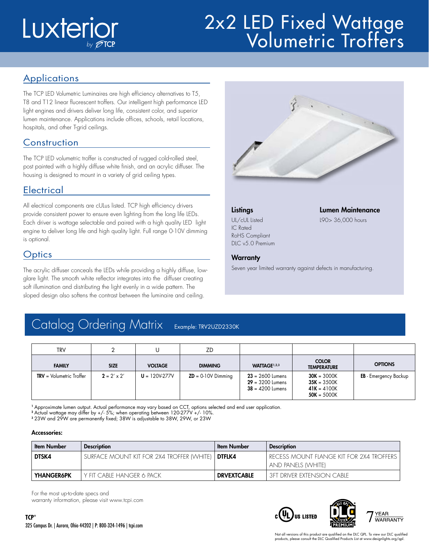# Luxterior

# 2x2 LED Fixed Wattage Volumetric Troffers

### **Applications**

The TCP LED Volumetric Luminaires are high efficiency alternatives to T5, T8 and T12 linear fluorescent troffers. Our intelligent high performance LED light engines and drivers deliver long life, consistent color, and superior lumen maintenance. Applications include offices, schools, retail locations, hospitals, and other T-grid ceilings.

### **Construction**

The TCP LED volumetric troffer is constructed of rugged cold-rolled steel, post painted with a highly diffuse white finish, and an acrylic diffuser. The housing is designed to mount in a variety of grid ceiling types.

### **Electrical**

All electrical components are cULus listed. TCP high efficiency drivers provide consistent power to ensure even lighting from the long life LEDs. Each driver is wattage selectable and paired with a high quality LED light engine to deliver long life and high quality light. Full range 0-10V dimming is optional.

### **Optics**

The acrylic diffuser conceals the LEDs while providing a highly diffuse, lowglare light. The smooth white reflector integrates into the diffuser creating soft illumination and distributing the light evenly in a wide pattern. The sloped design also softens the contrast between the luminaire and ceiling.



Seven year limited warranty against defects in manufacturing.

IC Rated RoHS Compliant DLC v5.0 Premium

**Warranty** 

### Listings Lumen Maintenance

UL/cUL Listed L90> 36,000 hours

## Catalog Ordering Matrix Example: TRV2UZD2330K

| <b>TRV</b>                 |                    |                 | ZD                   |                                                                |                                                                  |                              |
|----------------------------|--------------------|-----------------|----------------------|----------------------------------------------------------------|------------------------------------------------------------------|------------------------------|
| <b>FAMILY</b>              | <b>SIZE</b>        | <b>VOLTAGE</b>  | <b>DIMMING</b>       | WATTAGE <sup>1,2,3</sup>                                       | <b>COLOR</b><br><b>TEMPERATURE</b>                               | <b>OPTIONS</b>               |
| $TRY = Volumetric Troffer$ | $2 = 2' \times 2'$ | $U = 120V-277V$ | $ZD = 0.10V$ Dimming | $23 = 2600$ Lumens<br>$29 = 3200$ Lumens<br>$38 = 4200$ Lumens | $30K = 3000K$<br>$35K = 3500K$<br>$41K = 4100K$<br>$50K = 5000K$ | <b>EB</b> - Emergency Backup |

<sup>1</sup> Approximate lumen output. Actual performance may vary based on CCT, options selected and end user application.

<sup>2</sup> Actual wattage may differ by +/- 5%; when operating between 120-277V +/- 10%.

<sup>3</sup> 23W and 29W are permanently fixed; 38W is adjustable to 38W, 29W, or 23W

### Accessories:

| <b>Item Number</b> | <b>Description</b>                        | <b>Item Number</b> | <b>Description</b>                                                  |
|--------------------|-------------------------------------------|--------------------|---------------------------------------------------------------------|
| DTSK4              | SURFACE MOUNT KIT FOR 2X4 TROFFER (WHITE) | DTFLK4             | I RECESS MOUNT FLANGE KIT FOR 2X4 TROFFERS.<br>  and panels (White) |
| <b>YHANGER6PK</b>  | I Y FIT CABIF HANGFR 6 PACK .             | <b>DRVEXTCABLE</b> | I 3FT DRIVER EXTENSION CABIE.                                       |

For the most up-to-date specs and warranty information, please visit www.tcpi.com

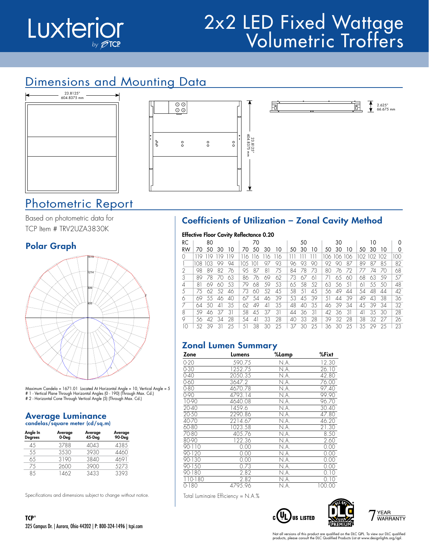

## 2x2 LED Fixed Wattage Volumetric Troffers

### Dimensions and Mounting Data



### Photometric Report

Based on photometric data for TCP Item # TRV2UZA3830K

### Polar Graph



Maximum Candela = 1671.01 Located At Horizontal Angle = 10, Vertical Angle = 5 # 1 - Vertical Plane Through Horizontal Angles (0 - 190) (Through Max. Cd.) # 2 - Horizontal Cone Through Vertical Angle (5) (Through Max. Cd.)

### Average Luminance candelas/square meter (cd/sq.m)

| Angle In<br><b>Degrees</b> | Average<br>0-Deg | Average<br>45-Deg | Average<br>90-Deg |
|----------------------------|------------------|-------------------|-------------------|
| 45                         | 3788             | 4043              | 4385              |
| 55                         | 3530             | 3930              | 4460              |
| 65                         | 3190             | 3840              | 4691              |
| 75                         | 2600             | 3900              | 5273              |
| 85                         | 462              | 3433              | 3393              |

Specifications and dimensions subject to change without notice.





### Coefficients of Utilization – Zonal Cavity Method

同

|                |     |     |    | <b>Effective Floor Cavity Reflectance 0.20</b> |      |     |          |     |    |    |    |    |             |                |     |     |     |     |
|----------------|-----|-----|----|------------------------------------------------|------|-----|----------|-----|----|----|----|----|-------------|----------------|-----|-----|-----|-----|
| RC             |     | 80  |    |                                                |      | 70  |          |     |    | 50 |    |    | 30          |                |     | 10  |     |     |
| RW             | 70  | 50  | 30 | 10                                             | 70   | 50  | 30       | 10  | 50 | 30 | 10 | 50 | 30          | 10             | 50. | 30  | 10  |     |
| O              | 119 | 19  | 19 | 19                                             | 116. | 116 | 16       | 116 |    |    |    |    | 106 106 106 |                | 102 | 102 | 102 | 100 |
|                | 108 | 103 | 99 | 94                                             | 10.5 | Ю   | 97       | 93  | 96 | 93 | 90 | 92 | 90          | 87             | 89  | 87  | 85  | 82  |
| $\mathfrak{D}$ | 98  | 89  | 82 | 76                                             | 95   | 87  | 81       | 75  | 84 | 78 | 73 | 80 | 76          | 72             | 77  | 74  | 70  | 68  |
| 3              | 89  | 78  | 70 | 63                                             | 86   | 76  | 69       | 62  | 73 | 67 | 61 |    | 65          | 60             | 68  | 63  | 59  | 57  |
| 4              | 81  | 69  | 60 | 53                                             | 79   | 68  | 59       | 53  | 65 | 58 | 52 | 63 | 56          | 5 <sup>1</sup> | 61  | 55  | 50  | 48  |
| 5              | 75  | 62  | 52 | 46                                             | 73   | 60  | 52       | 45  | 58 | 51 | 45 | 56 | 49          | 44             | 54  | 48  | 44  | 42  |
| 6              | 69  | 55  | 46 | 40                                             | 67   | 54  | 46       | 39  | 53 | 45 | 39 | 51 | 44          | 39             | 49  | 43  | 38  | 36  |
|                | 64  | 50  | 41 | 35                                             | 62   | 49  | $\Delta$ | 35  | 48 | 40 | 35 | 46 | 39          | 34             | 45  | 39  | 34  | 32  |
| 8              | .59 | 46  | 37 | 31                                             | 58   | 45  | 37       | 31  | 44 | 36 | 31 | 42 | 36          | 31             | 41  | 35  | 30  | 28  |
| 9              | 56  | 42  | 34 | 28                                             | 54   | 41  | 33       | 28  | 40 | 33 | 28 | 39 | 32          | 28             | 38  | 32  | 27  | 26  |
| 10             | 52  | 39  | 31 | 25                                             | 51   | 38  | 30       | 25  | 37 | 30 | 25 | 36 | 30          | 25             | 35  | 29  | 25  | 23  |

### Zonal Lumen Summary

| Zone                 | Lumens  | %Lamp | %Fixt  |
|----------------------|---------|-------|--------|
| $0 - 20$             | 590.75  | N.A.  | 12.30  |
| $0 - 30$             | 1252.75 | N.A.  | 26.10  |
| $0 - 40$             | 2050.35 | N.A.  | 42.80  |
| $0 - 60$             | 3647.2  | N.A.  | 76.00  |
| $0 - 80$             | 4670.78 | N.A.  | 97.40  |
| $0 - 90$             | 4793.14 | N.A.  | 99.90  |
| 10-90                | 4640.08 | N.A.  | 96.70  |
| $20 - 40$            | 1459.6  | N.A.  | 30.40  |
| $20 - 50$            | 2290.86 | N.A.  | 47.80  |
| 40-70                | 2214.67 | N.A.  | 46.20  |
| 60-80                | 1023.58 | N.A.  | 21.30  |
| 70-80                | 405.76  | N.A.  | 8.50   |
| 80-90                | 122.36  | N.A.  | 2.60   |
| $90 - 110$           | 0.00    | N.A.  | 0.00   |
| $90 - 120$           | 0.00    | N.A.  | 0.00   |
| 90-130               | 0.00    | N.A.  | 0.00   |
| $90 - 150$           | 0.73    | N.A.  | 0.00   |
| $\overline{90}$ -180 | 2.82    | N.A.  | 0.10   |
| 110-180              | 2.82    | N.A.  | 0.10   |
| $0 - 180$            | 4795.96 | N.A.  | 100.00 |

Total Luminaire Efficiency = N.A.%







2.625" 66.675 mm

 $\overline{\mathbf{t}}$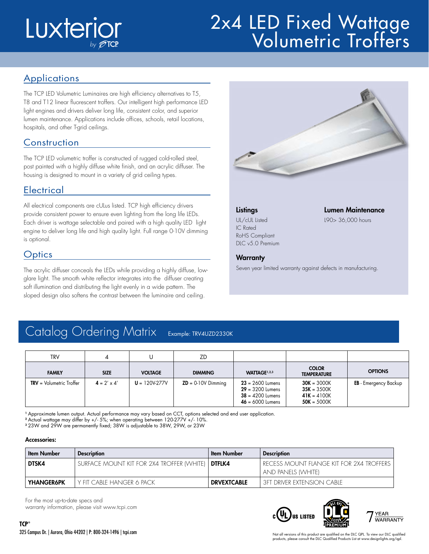# Luxterior

### **2x4 LLD Lixed Wandye** 2x4 LED Fixed Wattage Volumetric Troffers

### **Applications**

The TCP LED Volumetric Luminaires are high efficiency alternatives to T5, T8 and T12 linear fluorescent troffers. Our intelligent high performance LED light engines and drivers deliver long life, consistent color, and superior lumen maintenance. Applications include offices, schools, retail locations, hospitals, and other T-grid ceilings.

### **Construction**

The TCP LED volumetric troffer is constructed of rugged cold-rolled steel, post painted with a highly diffuse white finish, and an acrylic diffuser. The housing is designed to mount in a variety of grid ceiling types.

### Electrical

All electrical components are cULus listed. TCP high efficiency drivers provide consistent power to ensure even lighting from the long life LEDs. Each driver is wattage selectable and paired with a high quality LED light engine to deliver long life and high quality light. Full range 0-10V dimming is optional.

### **Optics**

The acrylic diffuser conceals the LEDs while providing a highly diffuse, lowglare light. The smooth white reflector integrates into the diffuser creating soft illumination and distributing the light evenly in a wide pattern. The sloped design also softens the contrast between the luminaire and ceiling.



IC Rated RoHS Compliant DLC v5.0 Premium

### Listings Lumen Maintenance

UL/cUL Listed L90> 36,000 hours

## **Warranty**

Seven year limited warranty against defects in manufacturing.

### Catalog Ordering Matrix Example: TRV4UZD2330K

| <b>TRV</b>     |                    |                 | ZD                   |                                                                                      |                                                                  |                              |
|----------------|--------------------|-----------------|----------------------|--------------------------------------------------------------------------------------|------------------------------------------------------------------|------------------------------|
| <b>FAMILY</b>  | <b>SIZE</b>        | <b>VOLTAGE</b>  | <b>DIMMING</b>       | WATTAGE <sup>1,2,3</sup>                                                             | <b>COLOR</b><br><b>TEMPERATURE</b>                               | <b>OPTIONS</b>               |
| $TRY = Volume$ | $4 = 2' \times 4'$ | $U = 120V-277V$ | $ZD = 0.10V$ Dimming | $23 = 2600$ Lumens<br>$29 = 3200$ Lumens<br>$38 = 4200$ Lumens<br>$46 = 6000$ Lumens | $30K = 3000K$<br>$35K = 3500K$<br>$41K = 4100K$<br>$50K = 5000K$ | <b>EB</b> - Emergency Backup |

<sup>1</sup> Approximate lumen output. Actual performance may vary based on CCT, options selected and end user application.

<sup>2</sup> Actual wattage may differ by +/- 5%; when operating between 120-277V +/- 10%.

<sup>3</sup> 23W and 29W are permanently fixed; 38W is adjustable to 38W, 29W, or 23W

### Accessories:

| <b>Item Number</b> | <b>Description</b>                                        | <b>Item Number</b> | <b>Description</b>                                                   |
|--------------------|-----------------------------------------------------------|--------------------|----------------------------------------------------------------------|
| DTSK4              | SURFACE MOUNT KIT FOR 2X4 TROFFER (WHITE)   <b>DTFLK4</b> |                    | I RECESS MOUNT FLANGE KIT FOR 2X4 TROFFERS (<br>  and panels (White) |
| <b>YHANGER6PK</b>  | Y FIT CABIF HANGER 6 PACK                                 | <b>DRVEXTCABLE</b> | I 3FT DRIVER EXTENSION CABIE.                                        |

For the most up-to-date specs and

warranty information, please visit www.tcpi.com